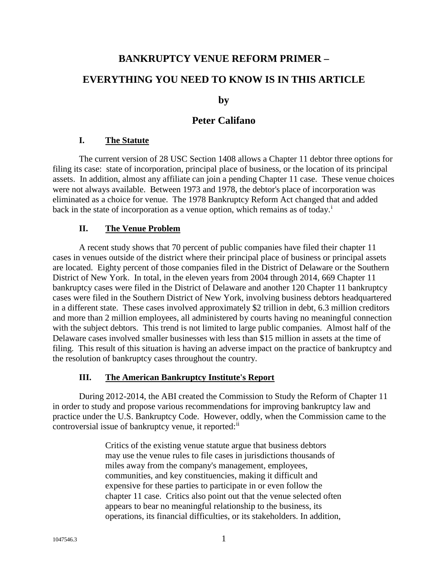# **BANKRUPTCY VENUE REFORM PRIMER –**

# **EVERYTHING YOU NEED TO KNOW IS IN THIS ARTICLE**

**by** 

# **Peter Califano**

### **I. The Statute**

The current version of 28 USC Section 1408 allows a Chapter 11 debtor three options for filing its case: state of incorporation, principal place of business, or the location of its principal assets. In addition, almost any affiliate can join a pending Chapter 11 case. These venue choices were not always available. Between 1973 and 1978, the debtor's place of incorporation was eliminated as a choice for venue. The 1978 Bankruptcy Reform Act changed that and added back [i](#page-11-0)n the state of incorporation as a venue option, which remains as of today.<sup>i</sup>

## **II. The Venue Problem**

A recent study shows that 70 percent of public companies have filed their chapter 11 cases in venues outside of the district where their principal place of business or principal assets are located. Eighty percent of those companies filed in the District of Delaware or the Southern District of New York. In total, in the eleven years from 2004 through 2014, 669 Chapter 11 bankruptcy cases were filed in the District of Delaware and another 120 Chapter 11 bankruptcy cases were filed in the Southern District of New York, involving business debtors headquartered in a different state. These cases involved approximately \$2 trillion in debt, 6.3 million creditors and more than 2 million employees, all administered by courts having no meaningful connection with the subject debtors. This trend is not limited to large public companies. Almost half of the Delaware cases involved smaller businesses with less than \$15 million in assets at the time of filing. This result of this situation is having an adverse impact on the practice of bankruptcy and the resolution of bankruptcy cases throughout the country.

## **III. The American Bankruptcy Institute's Report**

During 2012-2014, the ABI created the Commission to Study the Reform of Chapter 11 in order to study and propose various recommendations for improving bankruptcy law and practice under the U.S. Bankruptcy Code. However, oddly, when the Commission came to the controversial issue of bankruptcy venue, it reported:<sup>[ii](#page-11-1)</sup>

> Critics of the existing venue statute argue that business debtors may use the venue rules to file cases in jurisdictions thousands of miles away from the company's management, employees, communities, and key constituencies, making it difficult and expensive for these parties to participate in or even follow the chapter 11 case. Critics also point out that the venue selected often appears to bear no meaningful relationship to the business, its operations, its financial difficulties, or its stakeholders. In addition,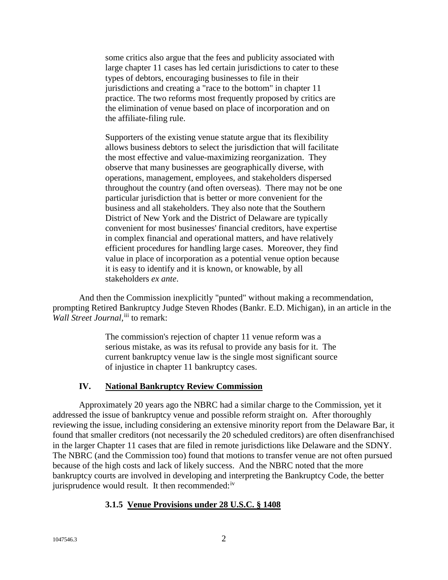some critics also argue that the fees and publicity associated with large chapter 11 cases has led certain jurisdictions to cater to these types of debtors, encouraging businesses to file in their jurisdictions and creating a "race to the bottom" in chapter 11 practice. The two reforms most frequently proposed by critics are the elimination of venue based on place of incorporation and on the affiliate-filing rule.

Supporters of the existing venue statute argue that its flexibility allows business debtors to select the jurisdiction that will facilitate the most effective and value-maximizing reorganization. They observe that many businesses are geographically diverse, with operations, management, employees, and stakeholders dispersed throughout the country (and often overseas). There may not be one particular jurisdiction that is better or more convenient for the business and all stakeholders. They also note that the Southern District of New York and the District of Delaware are typically convenient for most businesses' financial creditors, have expertise in complex financial and operational matters, and have relatively efficient procedures for handling large cases. Moreover, they find value in place of incorporation as a potential venue option because it is easy to identify and it is known, or knowable, by all stakeholders *ex ante*.

And then the Commission inexplicitly "punted" without making a recommendation, prompting Retired Bankruptcy Judge Steven Rhodes (Bankr. E.D. Michigan), in an article in the Wall Street Journal, [iii](#page-11-2) to remark:

> The commission's rejection of chapter 11 venue reform was a serious mistake, as was its refusal to provide any basis for it. The current bankruptcy venue law is the single most significant source of injustice in chapter 11 bankruptcy cases.

#### **IV. National Bankruptcy Review Commission**

Approximately 20 years ago the NBRC had a similar charge to the Commission, yet it addressed the issue of bankruptcy venue and possible reform straight on. After thoroughly reviewing the issue, including considering an extensive minority report from the Delaware Bar, it found that smaller creditors (not necessarily the 20 scheduled creditors) are often disenfranchised in the larger Chapter 11 cases that are filed in remote jurisdictions like Delaware and the SDNY. The NBRC (and the Commission too) found that motions to transfer venue are not often pursued because of the high costs and lack of likely success. And the NBRC noted that the more bankruptcy courts are involved in developing and interpreting the Bankruptcy Code, the better jurisprudence would result. It then recommended:<sup>[iv](#page-11-3)</sup>

#### **3.1.5 Venue Provisions under 28 U.S.C. § 1408**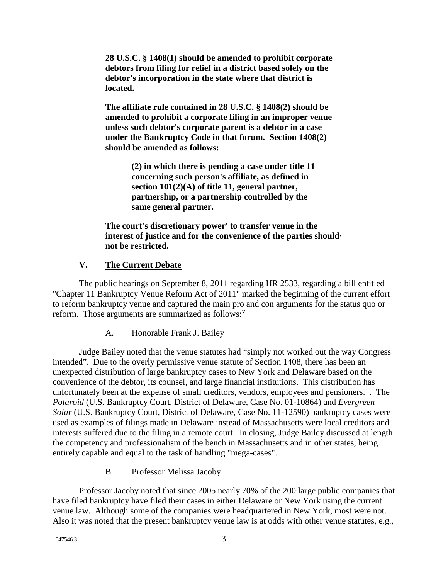**28 U.S.C. § 1408(1) should be amended to prohibit corporate debtors from filing for relief in a district based solely on the debtor's incorporation in the state where that district is located.**

**The affiliate rule contained in 28 U.S.C. § 1408(2) should be amended to prohibit a corporate filing in an improper venue unless such debtor's corporate parent is a debtor in a case under the Bankruptcy Code in that forum. Section 1408(2) should be amended as follows:**

> **(2) in which there is pending a case under title 11 concerning such person's affiliate, as defined in section 101(2)(A) of title 11, general partner, partnership, or a partnership controlled by the same general partner.**

**The court's discretionary power' to transfer venue in the interest of justice and for the convenience of the parties should· not be restricted.**

# **V. The Current Debate**

The public hearings on September 8, 2011 regarding HR 2533, regarding a bill entitled "Chapter 11 Bankruptcy Venue Reform Act of 2011" marked the beginning of the current effort to reform bankruptcy venue and captured the main pro and con arguments for the status quo or reform. Those arguments are summarized as follows: $v$ 

## A. Honorable Frank J. Bailey

Judge Bailey noted that the venue statutes had "simply not worked out the way Congress intended". Due to the overly permissive venue statute of Section 1408, there has been an unexpected distribution of large bankruptcy cases to New York and Delaware based on the convenience of the debtor, its counsel, and large financial institutions. This distribution has unfortunately been at the expense of small creditors, vendors, employees and pensioners. . The *Polaroid* (U.S. Bankruptcy Court, District of Delaware, Case No. 01-10864) and *Evergreen Solar* (U.S. Bankruptcy Court, District of Delaware, Case No. 11-12590) bankruptcy cases were used as examples of filings made in Delaware instead of Massachusetts were local creditors and interests suffered due to the filing in a remote court. In closing, Judge Bailey discussed at length the competency and professionalism of the bench in Massachusetts and in other states, being entirely capable and equal to the task of handling "mega-cases".

## B. Professor Melissa Jacoby

Professor Jacoby noted that since 2005 nearly 70% of the 200 large public companies that have filed bankruptcy have filed their cases in either Delaware or New York using the current venue law. Although some of the companies were headquartered in New York, most were not. Also it was noted that the present bankruptcy venue law is at odds with other venue statutes, e.g.,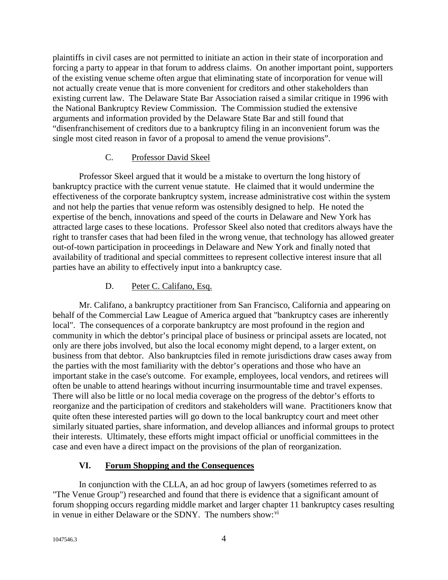plaintiffs in civil cases are not permitted to initiate an action in their state of incorporation and forcing a party to appear in that forum to address claims. On another important point, supporters of the existing venue scheme often argue that eliminating state of incorporation for venue will not actually create venue that is more convenient for creditors and other stakeholders than existing current law. The Delaware State Bar Association raised a similar critique in 1996 with the National Bankruptcy Review Commission. The Commission studied the extensive arguments and information provided by the Delaware State Bar and still found that "disenfranchisement of creditors due to a bankruptcy filing in an inconvenient forum was the single most cited reason in favor of a proposal to amend the venue provisions".

#### C. Professor David Skeel

Professor Skeel argued that it would be a mistake to overturn the long history of bankruptcy practice with the current venue statute. He claimed that it would undermine the effectiveness of the corporate bankruptcy system, increase administrative cost within the system and not help the parties that venue reform was ostensibly designed to help. He noted the expertise of the bench, innovations and speed of the courts in Delaware and New York has attracted large cases to these locations. Professor Skeel also noted that creditors always have the right to transfer cases that had been filed in the wrong venue, that technology has allowed greater out-of-town participation in proceedings in Delaware and New York and finally noted that availability of traditional and special committees to represent collective interest insure that all parties have an ability to effectively input into a bankruptcy case.

## D. Peter C. Califano, Esq.

Mr. Califano, a bankruptcy practitioner from San Francisco, California and appearing on behalf of the Commercial Law League of America argued that "bankruptcy cases are inherently local". The consequences of a corporate bankruptcy are most profound in the region and community in which the debtor's principal place of business or principal assets are located, not only are there jobs involved, but also the local economy might depend, to a larger extent, on business from that debtor. Also bankruptcies filed in remote jurisdictions draw cases away from the parties with the most familiarity with the debtor's operations and those who have an important stake in the case's outcome. For example, employees, local vendors, and retirees will often be unable to attend hearings without incurring insurmountable time and travel expenses. There will also be little or no local media coverage on the progress of the debtor's efforts to reorganize and the participation of creditors and stakeholders will wane. Practitioners know that quite often these interested parties will go down to the local bankruptcy court and meet other similarly situated parties, share information, and develop alliances and informal groups to protect their interests. Ultimately, these efforts might impact official or unofficial committees in the case and even have a direct impact on the provisions of the plan of reorganization.

## **VI. Forum Shopping and the Consequences**

In conjunction with the CLLA, an ad hoc group of lawyers (sometimes referred to as "The Venue Group") researched and found that there is evidence that a significant amount of forum shopping occurs regarding middle market and larger chapter 11 bankruptcy cases resulting in venue in either Delaware or the SDNY. The numbers show:<sup>[vi](#page-11-5)</sup>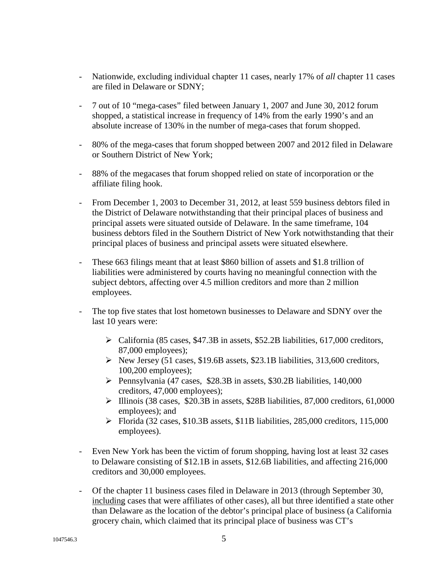- Nationwide, excluding individual chapter 11 cases, nearly 17% of *all* chapter 11 cases are filed in Delaware or SDNY;
- 7 out of 10 "mega-cases" filed between January 1, 2007 and June 30, 2012 forum shopped, a statistical increase in frequency of 14% from the early 1990's and an absolute increase of 130% in the number of mega-cases that forum shopped.
- 80% of the mega-cases that forum shopped between 2007 and 2012 filed in Delaware or Southern District of New York;
- 88% of the megacases that forum shopped relied on state of incorporation or the affiliate filing hook.
- From December 1, 2003 to December 31, 2012, at least 559 business debtors filed in the District of Delaware notwithstanding that their principal places of business and principal assets were situated outside of Delaware. In the same timeframe, 104 business debtors filed in the Southern District of New York notwithstanding that their principal places of business and principal assets were situated elsewhere.
- These 663 filings meant that at least \$860 billion of assets and \$1.8 trillion of liabilities were administered by courts having no meaningful connection with the subject debtors, affecting over 4.5 million creditors and more than 2 million employees.
- The top five states that lost hometown businesses to Delaware and SDNY over the last 10 years were:
	- $\triangleright$  California (85 cases, \$47.3B in assets, \$52.2B liabilities, 617,000 creditors, 87,000 employees);
	- $\triangleright$  New Jersey (51 cases, \$19.6B assets, \$23.1B liabilities, 313,600 creditors, 100,200 employees);
	- Pennsylvania (47 cases, \$28.3B in assets, \$30.2B liabilities, 140,000 creditors, 47,000 employees);
	- $\blacktriangleright$  Illinois (38 cases, \$20.3B in assets, \$28B liabilities, 87,000 creditors, 61,0000 employees); and
	- $\triangleright$  Florida (32 cases, \$10.3B assets, \$11B liabilities, 285,000 creditors, 115,000 employees).
- Even New York has been the victim of forum shopping, having lost at least 32 cases to Delaware consisting of \$12.1B in assets, \$12.6B liabilities, and affecting 216,000 creditors and 30,000 employees.
- Of the chapter 11 business cases filed in Delaware in 2013 (through September 30, including cases that were affiliates of other cases), all but three identified a state other than Delaware as the location of the debtor's principal place of business (a California grocery chain, which claimed that its principal place of business was CT's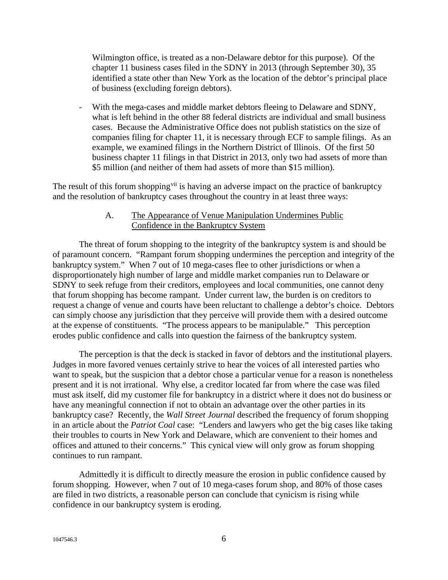Wilmington office, is treated as a non-Delaware debtor for this purpose). Of the chapter 11 business cases filed in the SDNY in 2013 (through September 30), 35 identified a state other than New York as the location of the debtor's principal place of business (excluding foreign debtors).

With the mega-cases and middle market debtors fleeing to Delaware and SDNY, what is left behind in the other 88 federal districts are individual and small business cases. Because the Administrative Office does not publish statistics on the size of companies filing for chapter 11, it is necessary through ECF to sample filings. As an example, we examined filings in the Northern District of Illinois. Of the first 50 business chapter 11 filings in that District in 2013, only two had assets of more than \$5 million (and neither of them had assets of more than \$15 million).

The result of this forum shopping<sup>[vii](#page-11-6)</sup> is having an adverse impact on the practice of bankruptcy and the resolution of bankruptcy cases throughout the country in at least three ways:

#### A. The Appearance of Venue Manipulation Undermines Public Confidence in the Bankruptcy System

The threat of forum shopping to the integrity of the bankruptcy system is and should be of paramount concern. "Rampant forum shopping undermines the perception and integrity of the bankruptcy system." When 7 out of 10 mega-cases flee to other jurisdictions or when a disproportionately high number of large and middle market companies run to Delaware or SDNY to seek refuge from their creditors, employees and local communities, one cannot deny that forum shopping has become rampant. Under current law, the burden is on creditors to request a change of venue and courts have been reluctant to challenge a debtor's choice. Debtors can simply choose any jurisdiction that they perceive will provide them with a desired outcome at the expense of constituents. "The process appears to be manipulable." This perception erodes public confidence and calls into question the fairness of the bankruptcy system.

The perception is that the deck is stacked in favor of debtors and the institutional players. Judges in more favored venues certainly strive to hear the voices of all interested parties who want to speak, but the suspicion that a debtor chose a particular venue for a reason is nonetheless present and it is not irrational. Why else, a creditor located far from where the case was filed must ask itself, did my customer file for bankruptcy in a district where it does not do business or have any meaningful connection if not to obtain an advantage over the other parties in its bankruptcy case? Recently, the *Wall Street Journal* described the frequency of forum shopping in an article about the *Patriot Coal* case: "Lenders and lawyers who get the big cases like taking their troubles to courts in New York and Delaware, which are convenient to their homes and offices and attuned to their concerns." This cynical view will only grow as forum shopping continues to run rampant.

Admittedly it is difficult to directly measure the erosion in public confidence caused by forum shopping. However, when 7 out of 10 mega-cases forum shop, and 80% of those cases are filed in two districts, a reasonable person can conclude that cynicism is rising while confidence in our bankruptcy system is eroding.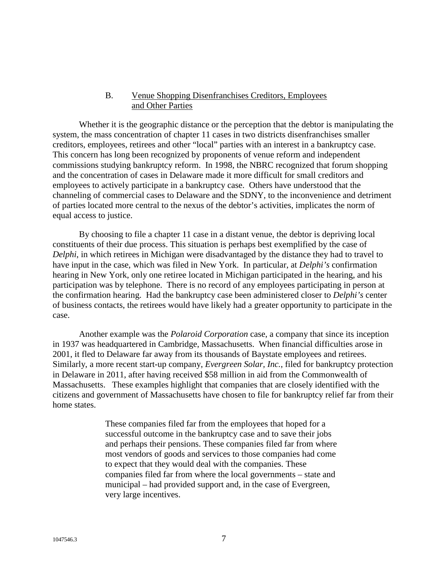#### B. Venue Shopping Disenfranchises Creditors, Employees and Other Parties

Whether it is the geographic distance or the perception that the debtor is manipulating the system, the mass concentration of chapter 11 cases in two districts disenfranchises smaller creditors, employees, retirees and other "local" parties with an interest in a bankruptcy case. This concern has long been recognized by proponents of venue reform and independent commissions studying bankruptcy reform. In 1998, the NBRC recognized that forum shopping and the concentration of cases in Delaware made it more difficult for small creditors and employees to actively participate in a bankruptcy case. Others have understood that the channeling of commercial cases to Delaware and the SDNY, to the inconvenience and detriment of parties located more central to the nexus of the debtor's activities, implicates the norm of equal access to justice.

By choosing to file a chapter 11 case in a distant venue, the debtor is depriving local constituents of their due process. This situation is perhaps best exemplified by the case of *Delphi*, in which retirees in Michigan were disadvantaged by the distance they had to travel to have input in the case, which was filed in New York. In particular, at *Delphi's* confirmation hearing in New York, only one retiree located in Michigan participated in the hearing, and his participation was by telephone. There is no record of any employees participating in person at the confirmation hearing. Had the bankruptcy case been administered closer to *Delphi's* center of business contacts, the retirees would have likely had a greater opportunity to participate in the case.

Another example was the *Polaroid Corporation* case, a company that since its inception in 1937 was headquartered in Cambridge, Massachusetts. When financial difficulties arose in 2001, it fled to Delaware far away from its thousands of Baystate employees and retirees. Similarly, a more recent start-up company, *Evergreen Solar, Inc.*, filed for bankruptcy protection in Delaware in 2011, after having received \$58 million in aid from the Commonwealth of Massachusetts. These examples highlight that companies that are closely identified with the citizens and government of Massachusetts have chosen to file for bankruptcy relief far from their home states.

> These companies filed far from the employees that hoped for a successful outcome in the bankruptcy case and to save their jobs and perhaps their pensions. These companies filed far from where most vendors of goods and services to those companies had come to expect that they would deal with the companies. These companies filed far from where the local governments – state and municipal – had provided support and, in the case of Evergreen, very large incentives.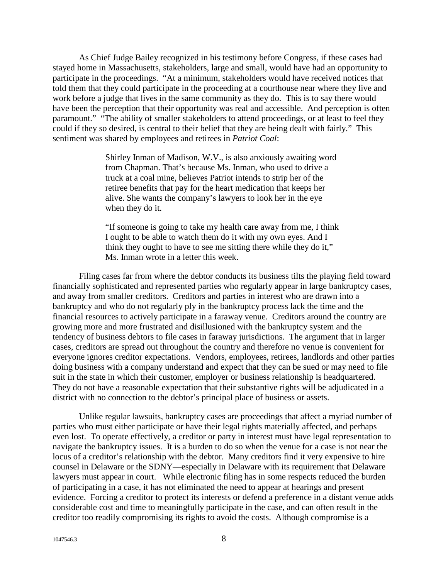As Chief Judge Bailey recognized in his testimony before Congress, if these cases had stayed home in Massachusetts, stakeholders, large and small, would have had an opportunity to participate in the proceedings. "At a minimum, stakeholders would have received notices that told them that they could participate in the proceeding at a courthouse near where they live and work before a judge that lives in the same community as they do. This is to say there would have been the perception that their opportunity was real and accessible. And perception is often paramount." "The ability of smaller stakeholders to attend proceedings, or at least to feel they could if they so desired, is central to their belief that they are being dealt with fairly." This sentiment was shared by employees and retirees in *Patriot Coal*:

> Shirley Inman of Madison, W.V., is also anxiously awaiting word from Chapman. That's because Ms. Inman, who used to drive a truck at a coal mine, believes Patriot intends to strip her of the retiree benefits that pay for the heart medication that keeps her alive. She wants the company's lawyers to look her in the eye when they do it.

> "If someone is going to take my health care away from me, I think I ought to be able to watch them do it with my own eyes. And I think they ought to have to see me sitting there while they do it," Ms. Inman wrote in a letter this week.

Filing cases far from where the debtor conducts its business tilts the playing field toward financially sophisticated and represented parties who regularly appear in large bankruptcy cases, and away from smaller creditors. Creditors and parties in interest who are drawn into a bankruptcy and who do not regularly ply in the bankruptcy process lack the time and the financial resources to actively participate in a faraway venue. Creditors around the country are growing more and more frustrated and disillusioned with the bankruptcy system and the tendency of business debtors to file cases in faraway jurisdictions. The argument that in larger cases, creditors are spread out throughout the country and therefore no venue is convenient for everyone ignores creditor expectations. Vendors, employees, retirees, landlords and other parties doing business with a company understand and expect that they can be sued or may need to file suit in the state in which their customer, employer or business relationship is headquartered. They do not have a reasonable expectation that their substantive rights will be adjudicated in a district with no connection to the debtor's principal place of business or assets.

Unlike regular lawsuits, bankruptcy cases are proceedings that affect a myriad number of parties who must either participate or have their legal rights materially affected, and perhaps even lost. To operate effectively, a creditor or party in interest must have legal representation to navigate the bankruptcy issues. It is a burden to do so when the venue for a case is not near the locus of a creditor's relationship with the debtor. Many creditors find it very expensive to hire counsel in Delaware or the SDNY—especially in Delaware with its requirement that Delaware lawyers must appear in court. While electronic filing has in some respects reduced the burden of participating in a case, it has not eliminated the need to appear at hearings and present evidence. Forcing a creditor to protect its interests or defend a preference in a distant venue adds considerable cost and time to meaningfully participate in the case, and can often result in the creditor too readily compromising its rights to avoid the costs. Although compromise is a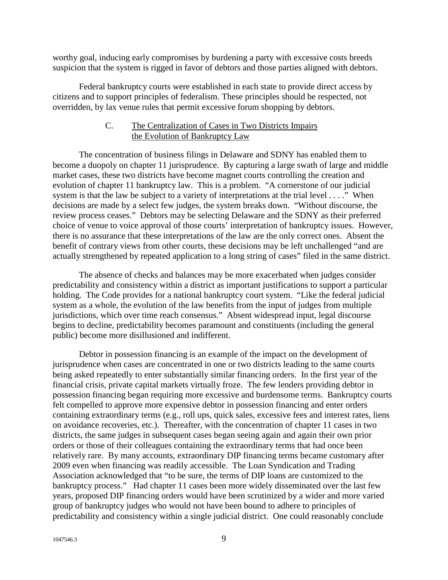worthy goal, inducing early compromises by burdening a party with excessive costs breeds suspicion that the system is rigged in favor of debtors and those parties aligned with debtors.

Federal bankruptcy courts were established in each state to provide direct access by citizens and to support principles of federalism. These principles should be respected, not overridden, by lax venue rules that permit excessive forum shopping by debtors.

### C. The Centralization of Cases in Two Districts Impairs the Evolution of Bankruptcy Law

The concentration of business filings in Delaware and SDNY has enabled them to become a duopoly on chapter 11 jurisprudence. By capturing a large swath of large and middle market cases, these two districts have become magnet courts controlling the creation and evolution of chapter 11 bankruptcy law. This is a problem. "A cornerstone of our judicial system is that the law be subject to a variety of interpretations at the trial level . . . ." When decisions are made by a select few judges, the system breaks down. "Without discourse, the review process ceases." Debtors may be selecting Delaware and the SDNY as their preferred choice of venue to voice approval of those courts' interpretation of bankruptcy issues. However, there is no assurance that these interpretations of the law are the only correct ones. Absent the benefit of contrary views from other courts, these decisions may be left unchallenged "and are actually strengthened by repeated application to a long string of cases" filed in the same district.

The absence of checks and balances may be more exacerbated when judges consider predictability and consistency within a district as important justifications to support a particular holding. The Code provides for a national bankruptcy court system. "Like the federal judicial system as a whole, the evolution of the law benefits from the input of judges from multiple jurisdictions, which over time reach consensus." Absent widespread input, legal discourse begins to decline, predictability becomes paramount and constituents (including the general public) become more disillusioned and indifferent.

Debtor in possession financing is an example of the impact on the development of jurisprudence when cases are concentrated in one or two districts leading to the same courts being asked repeatedly to enter substantially similar financing orders. In the first year of the financial crisis, private capital markets virtually froze. The few lenders providing debtor in possession financing began requiring more excessive and burdensome terms. Bankruptcy courts felt compelled to approve more expensive debtor in possession financing and enter orders containing extraordinary terms (e.g., roll ups, quick sales, excessive fees and interest rates, liens on avoidance recoveries, etc.). Thereafter, with the concentration of chapter 11 cases in two districts, the same judges in subsequent cases began seeing again and again their own prior orders or those of their colleagues containing the extraordinary terms that had once been relatively rare. By many accounts, extraordinary DIP financing terms became customary after 2009 even when financing was readily accessible. The Loan Syndication and Trading Association acknowledged that "to be sure, the terms of DIP loans are customized to the bankruptcy process." Had chapter 11 cases been more widely disseminated over the last few years, proposed DIP financing orders would have been scrutinized by a wider and more varied group of bankruptcy judges who would not have been bound to adhere to principles of predictability and consistency within a single judicial district. One could reasonably conclude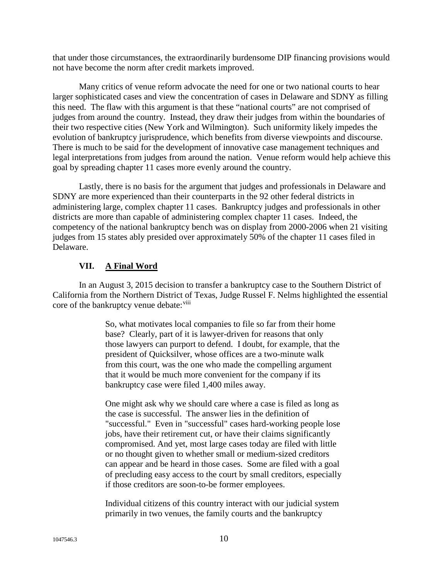that under those circumstances, the extraordinarily burdensome DIP financing provisions would not have become the norm after credit markets improved.

Many critics of venue reform advocate the need for one or two national courts to hear larger sophisticated cases and view the concentration of cases in Delaware and SDNY as filling this need. The flaw with this argument is that these "national courts" are not comprised of judges from around the country. Instead, they draw their judges from within the boundaries of their two respective cities (New York and Wilmington). Such uniformity likely impedes the evolution of bankruptcy jurisprudence, which benefits from diverse viewpoints and discourse. There is much to be said for the development of innovative case management techniques and legal interpretations from judges from around the nation. Venue reform would help achieve this goal by spreading chapter 11 cases more evenly around the country.

Lastly, there is no basis for the argument that judges and professionals in Delaware and SDNY are more experienced than their counterparts in the 92 other federal districts in administering large, complex chapter 11 cases. Bankruptcy judges and professionals in other districts are more than capable of administering complex chapter 11 cases. Indeed, the competency of the national bankruptcy bench was on display from 2000-2006 when 21 visiting judges from 15 states ably presided over approximately 50% of the chapter 11 cases filed in Delaware.

### **VII. A Final Word**

In an August 3, 2015 decision to transfer a bankruptcy case to the Southern District of California from the Northern District of Texas, Judge Russel F. Nelms highlighted the essential core of the bankruptcy venue debate: [viii](#page-11-7)

> So, what motivates local companies to file so far from their home base? Clearly, part of it is lawyer-driven for reasons that only those lawyers can purport to defend. I doubt, for example, that the president of Quicksilver, whose offices are a two-minute walk from this court, was the one who made the compelling argument that it would be much more convenient for the company if its bankruptcy case were filed 1,400 miles away.

> One might ask why we should care where a case is filed as long as the case is successful. The answer lies in the definition of "successful." Even in "successful" cases hard-working people lose jobs, have their retirement cut, or have their claims significantly compromised. And yet, most large cases today are filed with little or no thought given to whether small or medium-sized creditors can appear and be heard in those cases. Some are filed with a goal of precluding easy access to the court by small creditors, especially if those creditors are soon-to-be former employees.

> Individual citizens of this country interact with our judicial system primarily in two venues, the family courts and the bankruptcy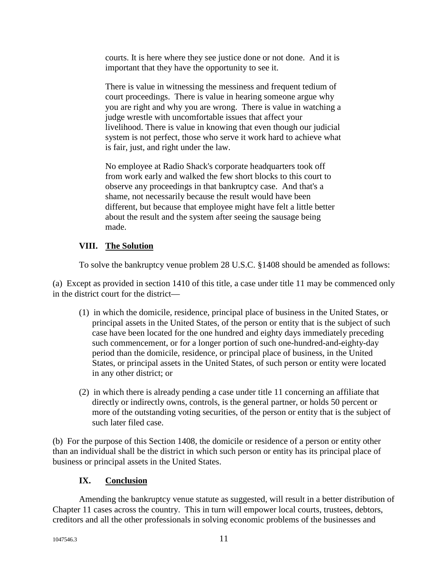courts. It is here where they see justice done or not done. And it is important that they have the opportunity to see it.

There is value in witnessing the messiness and frequent tedium of court proceedings. There is value in hearing someone argue why you are right and why you are wrong. There is value in watching a judge wrestle with uncomfortable issues that affect your livelihood. There is value in knowing that even though our judicial system is not perfect, those who serve it work hard to achieve what is fair, just, and right under the law.

No employee at Radio Shack's corporate headquarters took off from work early and walked the few short blocks to this court to observe any proceedings in that bankruptcy case. And that's a shame, not necessarily because the result would have been different, but because that employee might have felt a little better about the result and the system after seeing the sausage being made.

# **VIII. The Solution**

To solve the bankruptcy venue problem 28 U.S.C. §1408 should be amended as follows:

(a) Except as provided in section 1410 of this title, a case under title 11 may be commenced only in the district court for the district—

- (1) in which the domicile, residence, principal place of business in the United States, or principal assets in the United States, of the person or entity that is the subject of such case have been located for the one hundred and eighty days immediately preceding such commencement, or for a longer portion of such one-hundred-and-eighty-day period than the domicile, residence, or principal place of business, in the United States, or principal assets in the United States, of such person or entity were located in any other district; or
- (2) in which there is already pending a case under title 11 concerning an affiliate that directly or indirectly owns, controls, is the general partner, or holds 50 percent or more of the outstanding voting securities, of the person or entity that is the subject of such later filed case.

(b) For the purpose of this Section 1408, the domicile or residence of a person or entity other than an individual shall be the district in which such person or entity has its principal place of business or principal assets in the United States.

## **IX. Conclusion**

Amending the bankruptcy venue statute as suggested, will result in a better distribution of Chapter 11 cases across the country. This in turn will empower local courts, trustees, debtors, creditors and all the other professionals in solving economic problems of the businesses and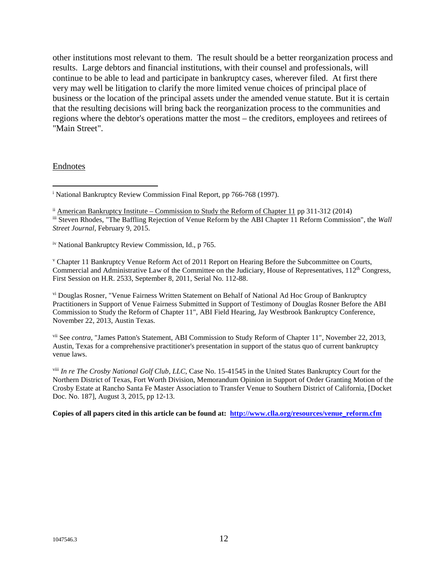other institutions most relevant to them. The result should be a better reorganization process and results. Large debtors and financial institutions, with their counsel and professionals, will continue to be able to lead and participate in bankruptcy cases, wherever filed. At first there very may well be litigation to clarify the more limited venue choices of principal place of business or the location of the principal assets under the amended venue statute. But it is certain that the resulting decisions will bring back the reorganization process to the communities and regions where the debtor's operations matter the most – the creditors, employees and retirees of "Main Street".

#### Endnotes

<span id="page-11-3"></span>iv National Bankruptcy Review Commission, Id., p 765.

<span id="page-11-4"></span><sup>v</sup> Chapter 11 Bankruptcy Venue Reform Act of 2011 Report on Hearing Before the Subcommittee on Courts, Commercial and Administrative Law of the Committee on the Judiciary, House of Representatives, 112<sup>th</sup> Congress, First Session on H.R. 2533, September 8, 2011, Serial No. 112-88.

<span id="page-11-5"></span>vi Douglas Rosner, "Venue Fairness Written Statement on Behalf of National Ad Hoc Group of Bankruptcy Practitioners in Support of Venue Fairness Submitted in Support of Testimony of Douglas Rosner Before the ABI Commission to Study the Reform of Chapter 11", ABI Field Hearing, Jay Westbrook Bankruptcy Conference, November 22, 2013, Austin Texas.

<span id="page-11-6"></span>vii See *contra*, "James Patton's Statement, ABI Commission to Study Reform of Chapter 11", November 22, 2013, Austin, Texas for a comprehensive practitioner's presentation in support of the status quo of current bankruptcy venue laws.

<span id="page-11-7"></span>viii *In re The Crosby National Golf Club, LLC*, Case No. 15-41545 in the United States Bankruptcy Court for the Northern District of Texas, Fort Worth Division, Memorandum Opinion in Support of Order Granting Motion of the Crosby Estate at Rancho Santa Fe Master Association to Transfer Venue to Southern District of California, [Docket Doc. No. 187], August 3, 2015, pp 12-13.

**Copies of all papers cited in this article can be found at: [http://www.clla.org/resources/venue\\_reform.cfm](http://www.clla.org/resources/venue_reform.cfm)**

<span id="page-11-0"></span><sup>&</sup>lt;sup>i</sup> National Bankruptcy Review Commission Final Report, pp 766-768 (1997).  $\overline{a}$ 

<span id="page-11-2"></span><span id="page-11-1"></span>ii American Bankruptcy Institute – Commission to Study the Reform of Chapter 11 pp 311-312 (2014) iii Steven Rhodes, "The Baffling Rejection of Venue Reform by the ABI Chapter 11 Reform Commission", the *Wall Street Journal*, February 9, 2015.